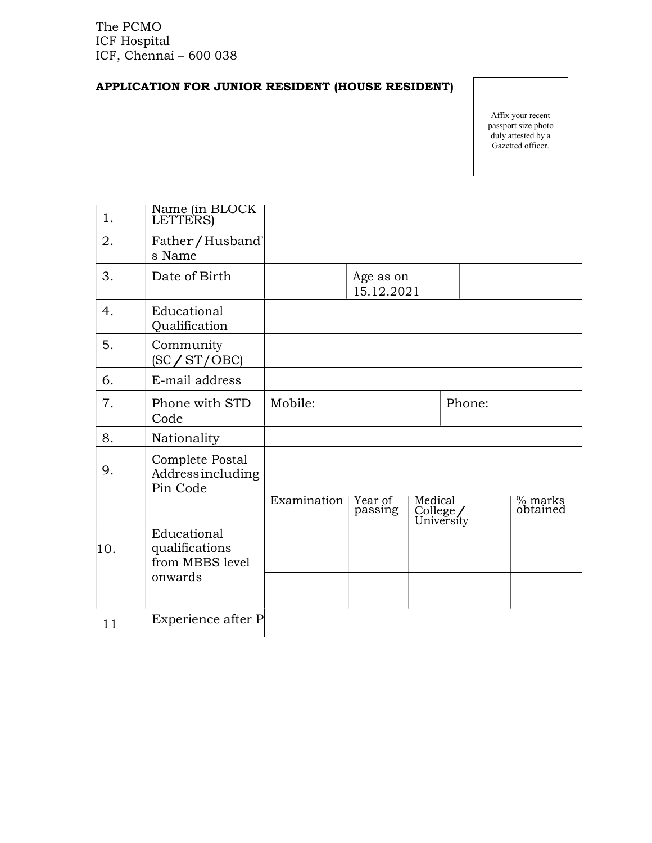The PCMO ICF Hospital ICF, Chennai – 600 038

## APPLICATION FOR JUNIOR RESIDENT (HOUSE RESIDENT)

Affix your recent passport size photo duly attested by a Gazetted officer.

| 1.  | Name (in BLOCK<br>LETTERS)                                  |             |                         |         |          |                     |
|-----|-------------------------------------------------------------|-------------|-------------------------|---------|----------|---------------------|
| 2.  | Father/Husband'<br>s Name                                   |             |                         |         |          |                     |
| 3.  | Date of Birth                                               |             | Age as on<br>15.12.2021 |         |          |                     |
| 4.  | Educational<br>Qualification                                |             |                         |         |          |                     |
| 5.  | Community<br>SC/ST/OBC                                      |             |                         |         |          |                     |
| 6.  | E-mail address                                              |             |                         |         |          |                     |
| 7.  | Phone with STD<br>Code                                      | Mobile:     |                         |         | Phone:   |                     |
| 8.  | Nationality                                                 |             |                         |         |          |                     |
| 9.  | Complete Postal<br>Address including<br>Pin Code            |             |                         |         |          |                     |
| 10. | Educational<br>qualifications<br>from MBBS level<br>onwards | Examination | Year of<br>passing      | Medical | College/ | % marks<br>obtained |
| 11  | Experience after P                                          |             |                         |         |          |                     |